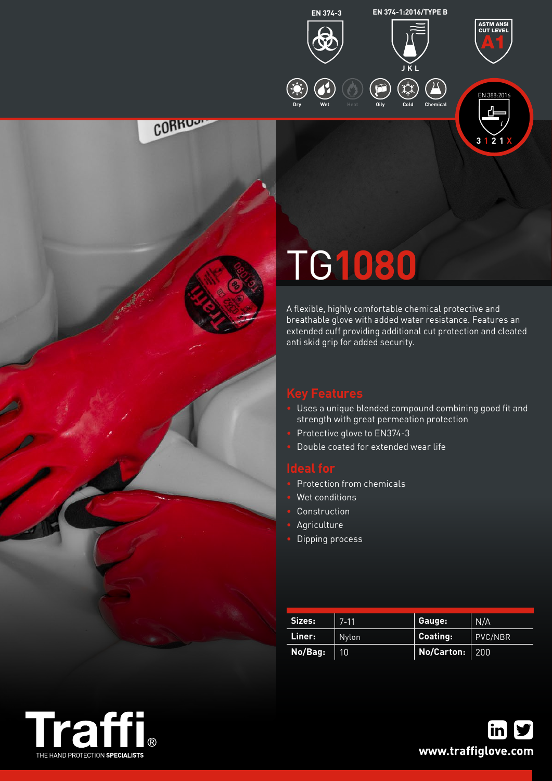



ASTM ANSI CUT LEVEL A1

# TG**1080**

A flexible, highly comfortable chemical protective and breathable glove with added water resistance. Features an extended cuff providing additional cut protection and cleated anti skid grip for added security.

**CORRUS** 

- Uses a unique blended compound combining good fit and strength with great permeation protection
- Protective glove to EN374-3
- Double coated for extended wear life

- Protection from chemicals
- Wet conditions
- **Construction**
- **Agriculture**
- Dipping process

| Sizes:  | $7 - 11$ | Gauge:           | N/A     |
|---------|----------|------------------|---------|
| Liner:  | Nylon    | Coating:         | PVC/NBR |
| No/Bag: | 10       | No/Carton:   200 |         |